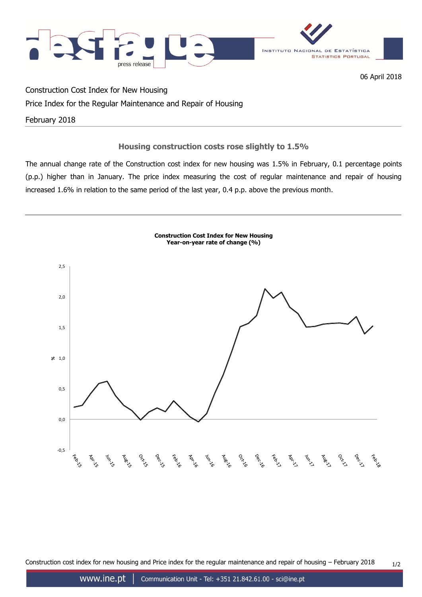

06 April 2018

Construction Cost Index for New Housing

# Price Index for the Regular Maintenance and Repair of Housing

February 2018

# **Housing construction costs rose slightly to 1.5%**

The annual change rate of the Construction cost index for new housing was 1.5% in February, 0.1 percentage points (p.p.) higher than in January. The price index measuring the cost of regular maintenance and repair of housing increased 1.6% in relation to the same period of the last year, 0.4 p.p. above the previous month.



Construction cost index for new housing and Price index for the regular maintenance and repair of housing  $-$  February 2018  $1/2$